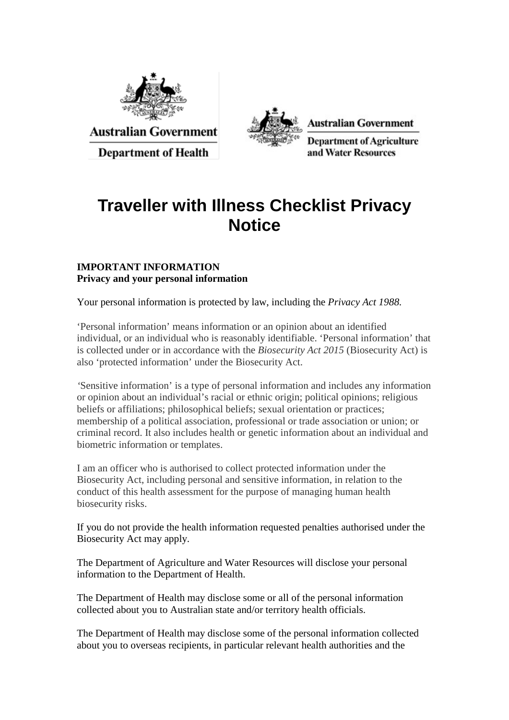

**Australian Government** 

**Department of Health** 



**Australian Government** 

**Department of Agriculture** and Water Resources

## **Traveller with Illness Checklist Privacy Notice**

## **IMPORTANT INFORMATION Privacy and your personal information**

Your personal information is protected by law, including the *Privacy Act 1988.*

'Personal information' means information or an opinion about an identified individual, or an individual who is reasonably identifiable. 'Personal information' that is collected under or in accordance with the *Biosecurity Act 2015* (Biosecurity Act) is also 'protected information' under the Biosecurity Act.

*'*Sensitive information' is a type of personal information and includes any information or opinion about an individual's racial or ethnic origin; political opinions; religious beliefs or affiliations; philosophical beliefs; sexual orientation or practices; membership of a political association, professional or trade association or union; or criminal record. It also includes health or genetic information about an individual and biometric information or templates.

I am an officer who is authorised to collect protected information under the Biosecurity Act, including personal and sensitive information, in relation to the conduct of this health assessment for the purpose of managing human health biosecurity risks.

If you do not provide the health information requested penalties authorised under the Biosecurity Act may apply.

The Department of Agriculture and Water Resources will disclose your personal information to the Department of Health.

The Department of Health may disclose some or all of the personal information collected about you to Australian state and/or territory health officials.

The Department of Health may disclose some of the personal information collected about you to overseas recipients, in particular relevant health authorities and the